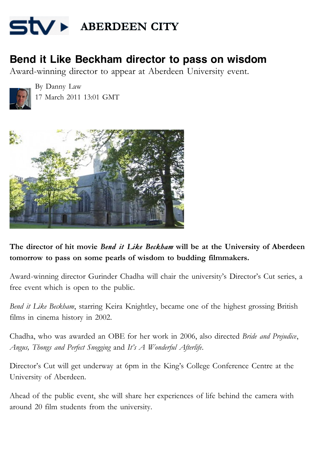

## **Bend it Like Beckham director to pass on wisdom**

Award-winning director to appear at Aberdeen University event.



By Danny Law 17 March 2011 13:01 GMT



The director of hit movie *Bend it Like Beckham* will be at the University of Aberdeen **tomorrow to pass on some pearls of wisdom to budding filmmakers.**

Award-winning director Gurinder Chadha will chair the university's Director's Cut series, a free event which is open to the public.

*Bend it Like Beckham*, starring Keira Knightley, became one of the highest grossing British films in cinema history in 2002.

Chadha, who was awarded an OBE for her work in 2006, also directed *Bride and Prejudice*, *Angus, Thongs and Perfect Snogging* and *It's A Wonderful Afterlife*.

Director's Cut will get underway at 6pm in the King's College Conference Centre at the University of Aberdeen.

Ahead of the public event, she will share her experiences of life behind the camera with around 20 film students from the university.